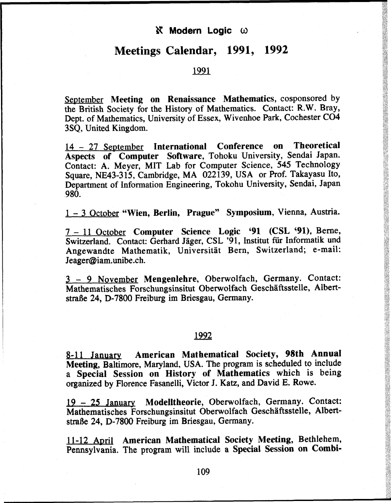## *N* Modern Logic ω

## **Meetings Calendar, 1991, 1992**

1991

September **Meeting on Renaissance Mathematics,** cosponsored by the British Society for the History of Mathematics. Contact: R.W. Bray, Dept. of Mathematics, University of Essex, Wivenhoe Park, Cochester CO4 3SQ, United Kingdom.

14-2 7 September **International Conference on Theoretical Aspects of Computer Software,** Tohoku University, Sendai Japan. Contact: A. Meyer, MIT Lab for Computer Science, **545** Technology Square, NE43-315, Cambridge, MA 022139, USA or Prof. Takayasu Ito, Department of Information Engineering, Tokohu University, Sendai, Japan 980.

1 - 3 October **"Wien, Berlin, Prague" Symposium,** Vienna, Austria.

7-1 1 October **Computer** Science Logic **'91 (CSL <91),** Berne, Switzerland. Contact: Gerhard Jäger, CSL '91, Institut für Informatik und Angewandte Mathematik, Universität Bern, Switzerland; e-mail: Jeager@iam.unibe.ch.

3 - 9 November **Mengenlehre,** Oberwolfach, Germany. Contact: Mathematisches Forschungsinsitut Oberwolfach Geschäftsstelle, Albertstraße 24, **D-7800** Freiburg im Briesgau, Germany.

## 1992

8-11 January **American Mathematical Society, 98th Annual Meeting,** Baltimore, Maryland, USA. The program is scheduled to include a **Special Session on History of Mathematics** which is being organized by Florence Fasanelli, Victor J. Katz, and David E. Rowe.

19-2 5 January **Modelltheorie,** Oberwolfach, Germany. Contact: Mathematisches Forschungsinsitut Oberwolfach Geschäftsstelle, Albertstraße 24, **D-7800** Freiburg im Briesgau, Germany.

11-12 April **American Mathematical Society Meeting,** Bethlehem, Pennsylvania. The program will include a **Special Session on Combi-**